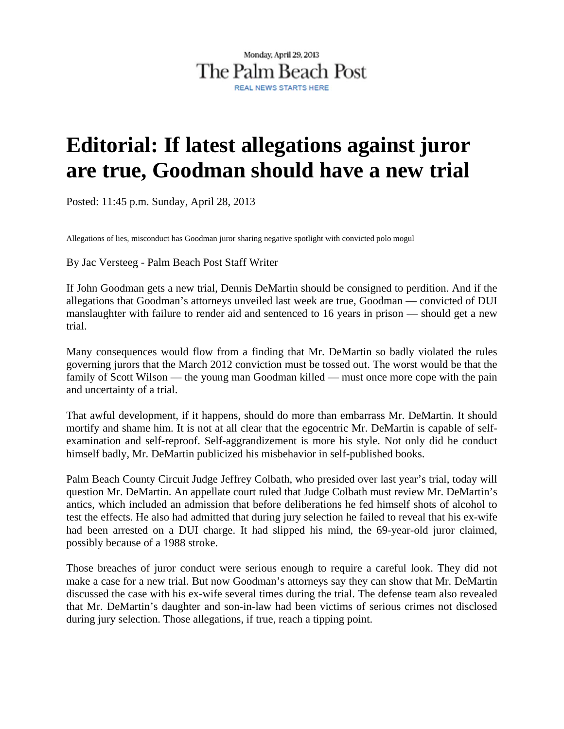## Monday, April 29, 2013 The Palm Beach Post

## **Editorial: If latest allegations against juror are true, Goodman should have a new trial**

Posted: 11:45 p.m. Sunday, April 28, 2013

Allegations of lies, misconduct has Goodman juror sharing negative spotlight with convicted polo mogul

By Jac Versteeg - Palm Beach Post Staff Writer

If John Goodman gets a new trial, Dennis DeMartin should be consigned to perdition. And if the allegations that Goodman's attorneys unveiled last week are true, Goodman — convicted of DUI manslaughter with failure to render aid and sentenced to 16 years in prison — should get a new trial.

Many consequences would flow from a finding that Mr. DeMartin so badly violated the rules governing jurors that the March 2012 conviction must be tossed out. The worst would be that the family of Scott Wilson — the young man Goodman killed — must once more cope with the pain and uncertainty of a trial.

That awful development, if it happens, should do more than embarrass Mr. DeMartin. It should mortify and shame him. It is not at all clear that the egocentric Mr. DeMartin is capable of selfexamination and self-reproof. Self-aggrandizement is more his style. Not only did he conduct himself badly, Mr. DeMartin publicized his misbehavior in self-published books.

Palm Beach County Circuit Judge Jeffrey Colbath, who presided over last year's trial, today will question Mr. DeMartin. An appellate court ruled that Judge Colbath must review Mr. DeMartin's antics, which included an admission that before deliberations he fed himself shots of alcohol to test the effects. He also had admitted that during jury selection he failed to reveal that his ex-wife had been arrested on a DUI charge. It had slipped his mind, the 69-year-old juror claimed, possibly because of a 1988 stroke.

Those breaches of juror conduct were serious enough to require a careful look. They did not make a case for a new trial. But now Goodman's attorneys say they can show that Mr. DeMartin discussed the case with his ex-wife several times during the trial. The defense team also revealed that Mr. DeMartin's daughter and son-in-law had been victims of serious crimes not disclosed during jury selection. Those allegations, if true, reach a tipping point.